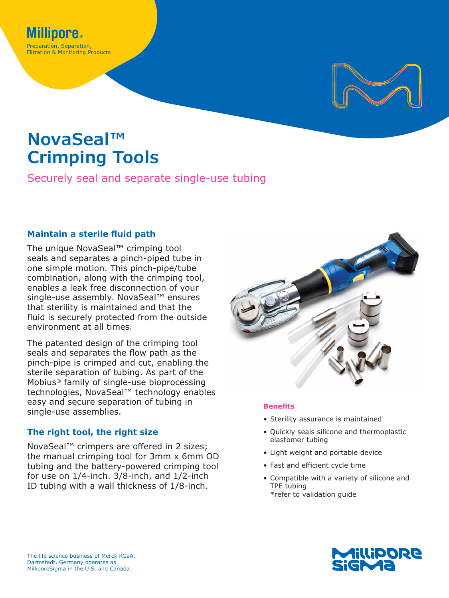

# **NovaSeal™ Crimping Tools**

Securely seal and separate single-use tubing

## **Maintain a sterile fluid path**

The unique NovaSeal™ crimping tool seals and separates a pinch-piped tube in one simple motion. This pinch-pipe/tube combination, along with the crimping tool, enables a leak free disconnection of your single-use assembly. NovaSeal™ ensures that sterility is maintained and that the fluid is securely protected from the outside environment at all times.

The patented design of the crimping tool seals and separates the flow path as the pinch-pipe is crimped and cut, enabling the sterile separation of tubing. As part of the Mobius® family of single-use bioprocessing technologies, NovaSeal™ technology enables easy and secure separation of tubing in single-use assemblies.

## **The right tool, the right size**

NovaSeal™ crimpers are offered in 2 sizes; the manual crimping tool for 3mm x 6mm OD tubing and the battery-powered crimping tool for use on 1/4-inch. 3/8-inch, and 1/2-inch ID tubing with a wall thickness of 1/8-inch.



### **Benefits**

- Sterility assurance is maintained
- Quickly seals silicone and thermoplastic elastomer tubing
- Light weight and portable device
- Fast and efficient cycle time
- Compatible with a variety of silicone and TPE tubing \*refer to validation guide

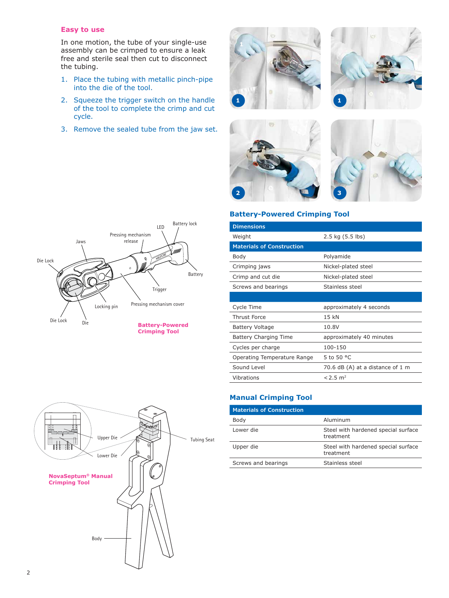#### **Easy to use**

In one motion, the tube of your single-use assembly can be crimped to ensure a leak free and sterile seal then cut to disconnect the tubing.

- 1. Place the tubing with metallic pinch-pipe into the die of the tool.
- 2. Squeeze the trigger switch on the handle of the tool to complete the crimp and cut cycle.
- 3. Remove the sealed tube from the jaw set.









#### **Battery-Powered Crimping Tool**

| <b>Dimensions</b>                |                                  |
|----------------------------------|----------------------------------|
| Weight                           | 2.5 kg (5.5 lbs)                 |
| <b>Materials of Construction</b> |                                  |
| Body                             | Polyamide                        |
| Crimping jaws                    | Nickel-plated steel              |
| Crimp and cut die                | Nickel-plated steel              |
| Screws and bearings              | Stainless steel                  |
|                                  |                                  |
| Cycle Time                       | approximately 4 seconds          |
| <b>Thrust Force</b>              | 15 kN                            |
| Battery Voltage                  | 10.8V                            |
| Battery Charging Time            | approximately 40 minutes         |
| Cycles per charge                | 100-150                          |
| Operating Temperature Range      | 5 to 50 °C                       |
| Sound Level                      | 70.6 dB (A) at a distance of 1 m |
| Vibrations                       | $< 2.5$ m <sup>2</sup>           |
|                                  |                                  |

## **Manual Crimping Tool**

| <b>Materials of Construction</b> |                                                  |
|----------------------------------|--------------------------------------------------|
| Body                             | Aluminum                                         |
| Lower die                        | Steel with hardened special surface<br>treatment |
| Upper die                        | Steel with hardened special surface<br>treatment |
| Screws and bearings              | Stainless steel                                  |
|                                  |                                                  |



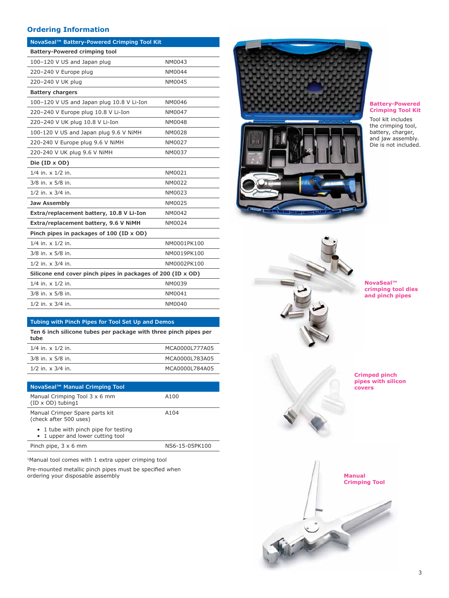#### **Ordering Information**

| NovaSeal™ Battery-Powered Crimping Tool Kit                 |             |  |
|-------------------------------------------------------------|-------------|--|
| Battery-Powered crimping tool                               |             |  |
| 100-120 V US and Japan plug                                 | NM0043      |  |
| 220-240 V Europe plug                                       | NM0044      |  |
| 220-240 V UK plug                                           | NM0045      |  |
| <b>Battery chargers</b>                                     |             |  |
| 100-120 V US and Japan plug 10.8 V Li-Ion                   | NM0046      |  |
| 220-240 V Europe plug 10.8 V Li-Ion                         | NM0047      |  |
| 220-240 V UK plug 10.8 V Li-Ion                             | NM0048      |  |
| 100-120 V US and Japan plug 9.6 V NiMH                      | NM0028      |  |
| 220-240 V Europe plug 9.6 V NiMH                            | NM0027      |  |
| 220-240 V UK plug 9.6 V NiMH                                | NM0037      |  |
| Die (ID x OD)                                               |             |  |
| $1/4$ in. $\times$ $1/2$ in.                                | NM0021      |  |
| 3/8 in. x 5/8 in.                                           | NM0022      |  |
| $1/2$ in. $\times$ 3/4 in.                                  | NM0023      |  |
| Jaw Assembly                                                | NM0025      |  |
| Extra/replacement battery, 10.8 V Li-Ion                    | NM0042      |  |
| Extra/replacement battery, 9.6 V NiMH                       | NM0024      |  |
| Pinch pipes in packages of 100 (ID x OD)                    |             |  |
| $1/4$ in. $\times$ $1/2$ in.                                | NM0001PK100 |  |
| 3/8 in. x 5/8 in.                                           | NM0019PK100 |  |
| $1/2$ in. $\times$ 3/4 in.                                  | NM0002PK100 |  |
| Silicone end cover pinch pipes in packages of 200 (ID x OD) |             |  |
| $1/4$ in. $\times$ $1/2$ in.                                | NM0039      |  |
| $3/8$ in. $\times$ 5/8 in.                                  | NM0041      |  |
| $1/2$ in. $\times$ 3/4 in.                                  | NM0040      |  |

#### **Tubing with Pinch Pipes for Tool Set Up and Demos**

**Ten 6 inch silicone tubes per package with three pinch pipes per tube**

| $1/4$ in. $\times$ $1/2$ in. | MCA0000L777A05 |
|------------------------------|----------------|
| $3/8$ in. $\times$ 5/8 in.   | MCA0000L783A05 |
| $1/2$ in. $\times$ 3/4 in.   | MCA0000L784A05 |

| NovaSeal™ Manual Crimping Tool                                           |                |
|--------------------------------------------------------------------------|----------------|
| Manual Crimping Tool 3 x 6 mm<br>$(ID \times OD)$ tubing 1               | A100           |
| Manual Crimper Spare parts kit<br>(check after 500 uses)                 | A104           |
| • 1 tube with pinch pipe for testing<br>• 1 upper and lower cutting tool |                |
| Pinch pipe, $3 \times 6$ mm                                              | NS6-15-05PK100 |

1Manual tool comes with 1 extra upper crimping tool Pre-mounted metallic pinch pipes must be specified when ordering your disposable assembly



#### **Battery-Powered Crimping Tool Kit**

Tool kit includes the crimping tool, battery, charger, and jaw assembly. Die is not included.



**NovaSeal™ crimping tool dies and pinch pipes**

**Crimped pinch pipes with silicon covers**